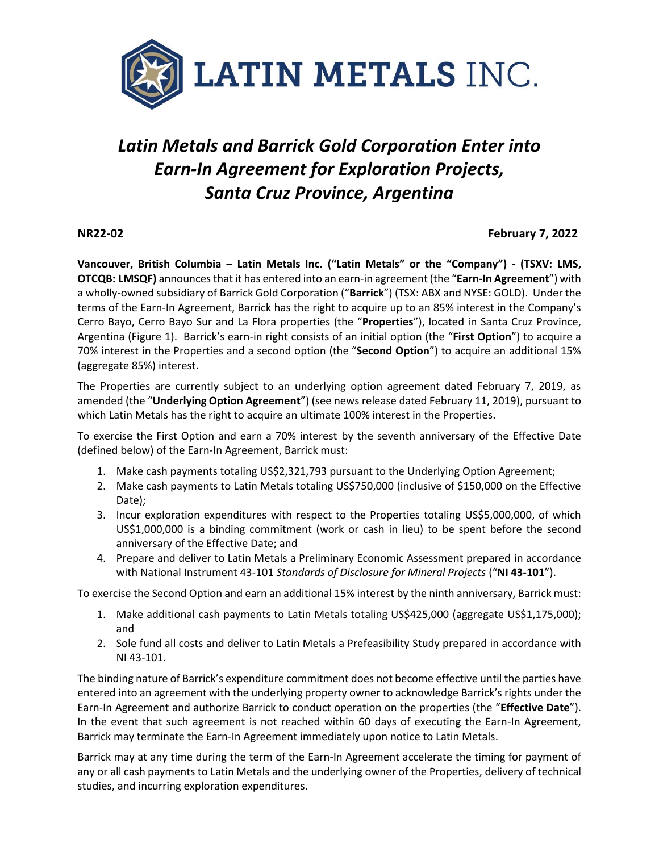

# *Latin Metals and Barrick Gold Corporation Enter into Earn-In Agreement for Exploration Projects, Santa Cruz Province, Argentina*

## **NR22-02 February 7, 2022**

**Vancouver, British Columbia – Latin Metals Inc. ("Latin Metals" or the "Company") - (TSXV: LMS, OTCQB: LMSQF)** announces that it has entered into an earn-in agreement (the "**Earn-In Agreement**") with a wholly-owned subsidiary of Barrick Gold Corporation ("**Barrick**") (TSX: ABX and NYSE: GOLD). Under the terms of the Earn-In Agreement, Barrick has the right to acquire up to an 85% interest in the Company's Cerro Bayo, Cerro Bayo Sur and La Flora properties (the "**Properties**"), located in Santa Cruz Province, Argentina (Figure 1). Barrick's earn-in right consists of an initial option (the "**First Option**") to acquire a 70% interest in the Properties and a second option (the "**Second Option**") to acquire an additional 15% (aggregate 85%) interest.

The Properties are currently subject to an underlying option agreement dated February 7, 2019, as amended (the "**Underlying Option Agreement**") (see news release dated February 11, 2019), pursuant to which Latin Metals has the right to acquire an ultimate 100% interest in the Properties.

To exercise the First Option and earn a 70% interest by the seventh anniversary of the Effective Date (defined below) of the Earn-In Agreement, Barrick must:

- 1. Make cash payments totaling US\$2,321,793 pursuant to the Underlying Option Agreement;
- 2. Make cash payments to Latin Metals totaling US\$750,000 (inclusive of \$150,000 on the Effective Date);
- 3. Incur exploration expenditures with respect to the Properties totaling US\$5,000,000, of which US\$1,000,000 is a binding commitment (work or cash in lieu) to be spent before the second anniversary of the Effective Date; and
- 4. Prepare and deliver to Latin Metals a Preliminary Economic Assessment prepared in accordance with National Instrument 43-101 *Standards of Disclosure for Mineral Projects* ("**NI 43-101**").

To exercise the Second Option and earn an additional 15% interest by the ninth anniversary, Barrick must:

- 1. Make additional cash payments to Latin Metals totaling US\$425,000 (aggregate US\$1,175,000); and
- 2. Sole fund all costs and deliver to Latin Metals a Prefeasibility Study prepared in accordance with NI 43-101.

The binding nature of Barrick's expenditure commitment does not become effective until the parties have entered into an agreement with the underlying property owner to acknowledge Barrick's rights under the Earn-In Agreement and authorize Barrick to conduct operation on the properties (the "**Effective Date**"). In the event that such agreement is not reached within 60 days of executing the Earn-In Agreement, Barrick may terminate the Earn-In Agreement immediately upon notice to Latin Metals.

Barrick may at any time during the term of the Earn-In Agreement accelerate the timing for payment of any or all cash payments to Latin Metals and the underlying owner of the Properties, delivery of technical studies, and incurring exploration expenditures.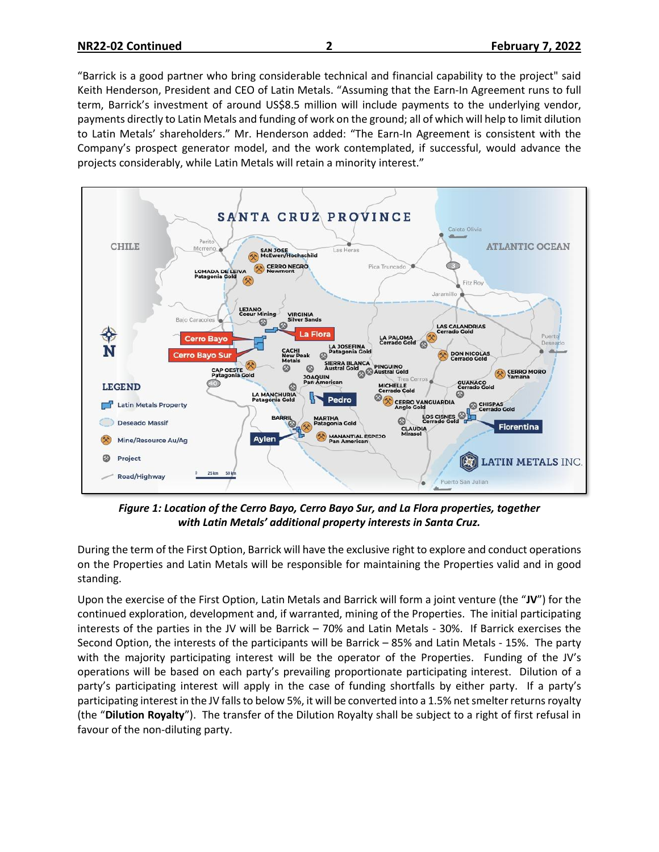"Barrick is a good partner who bring considerable technical and financial capability to the project" said Keith Henderson, President and CEO of Latin Metals. "Assuming that the Earn-In Agreement runs to full term, Barrick's investment of around US\$8.5 million will include payments to the underlying vendor, payments directly to Latin Metals and funding of work on the ground; all of which will help to limit dilution to Latin Metals' shareholders." Mr. Henderson added: "The Earn-In Agreement is consistent with the Company's prospect generator model, and the work contemplated, if successful, would advance the projects considerably, while Latin Metals will retain a minority interest."



*Figure 1: Location of the Cerro Bayo, Cerro Bayo Sur, and La Flora properties, together with Latin Metals' additional property interests in Santa Cruz.*

During the term of the First Option, Barrick will have the exclusive right to explore and conduct operations on the Properties and Latin Metals will be responsible for maintaining the Properties valid and in good standing.

Upon the exercise of the First Option, Latin Metals and Barrick will form a joint venture (the "**JV**") for the continued exploration, development and, if warranted, mining of the Properties. The initial participating interests of the parties in the JV will be Barrick – 70% and Latin Metals - 30%. If Barrick exercises the Second Option, the interests of the participants will be Barrick – 85% and Latin Metals - 15%. The party with the majority participating interest will be the operator of the Properties. Funding of the JV's operations will be based on each party's prevailing proportionate participating interest. Dilution of a party's participating interest will apply in the case of funding shortfalls by either party. If a party's participating interest in the JV falls to below 5%, it will be converted into a 1.5% net smelter returnsroyalty (the "**Dilution Royalty**"). The transfer of the Dilution Royalty shall be subject to a right of first refusal in favour of the non-diluting party.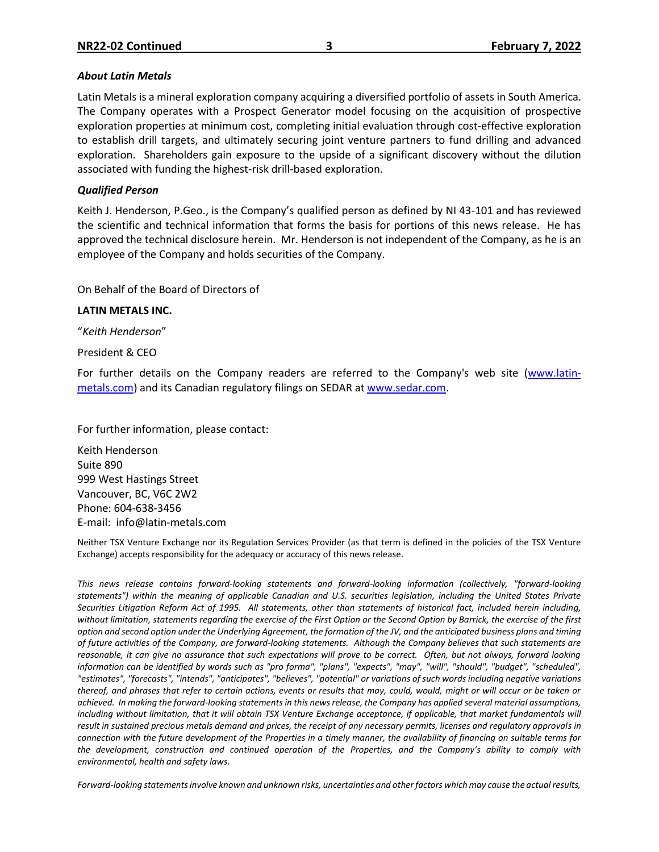#### *About Latin Metals*

Latin Metals is a mineral exploration company acquiring a diversified portfolio of assets in South America. The Company operates with a Prospect Generator model focusing on the acquisition of prospective exploration properties at minimum cost, completing initial evaluation through cost-effective exploration to establish drill targets, and ultimately securing joint venture partners to fund drilling and advanced exploration. Shareholders gain exposure to the upside of a significant discovery without the dilution associated with funding the highest-risk drill-based exploration.

### *Qualified Person*

Keith J. Henderson, P.Geo., is the Company's qualified person as defined by NI 43-101 and has reviewed the scientific and technical information that forms the basis for portions of this news release. He has approved the technical disclosure herein. Mr. Henderson is not independent of the Company, as he is an employee of the Company and holds securities of the Company.

On Behalf of the Board of Directors of

#### **LATIN METALS INC.**

"*Keith Henderson*"

President & CEO

For further details on the Company readers are referred to the Company's web site [\(www.latin](http://www.centeneramining.com/)[metals.com\)](http://www.centeneramining.com/) and its Canadian regulatory filings on SEDAR at [www.sedar.com.](http://www.sedar.com/)

For further information, please contact:

Keith Henderson Suite 890 999 West Hastings Street Vancouver, BC, V6C 2W2 Phone: 604-638-3456 E-mail: info@latin-metals.com

Neither TSX Venture Exchange nor its Regulation Services Provider (as that term is defined in the policies of the TSX Venture Exchange) accepts responsibility for the adequacy or accuracy of this news release.

This news release contains forward-looking statements and forward-looking information (collectively, "forward-looking *statements") within the meaning of applicable Canadian and U.S. securities legislation, including the United States Private Securities Litigation Reform Act of 1995. All statements, other than statements of historical fact, included herein including, without limitation, statements regarding the exercise of the First Option or the Second Option by Barrick, the exercise of the first option and second option under the Underlying Agreement, the formation of the JV, and the anticipated business plans and timing of future activities of the Company, are forward-looking statements. Although the Company believes that such statements are reasonable, it can give no assurance that such expectations will prove to be correct. Often, but not always, forward looking information can be identified by words such as "pro forma", "plans", "expects", "may", "will", "should", "budget", "scheduled", "estimates", "forecasts", "intends", "anticipates", "believes", "potential" or variations of such words including negative variations thereof, and phrases that refer to certain actions, events or results that may, could, would, might or will occur or be taken or achieved. In making the forward-looking statements in this news release, the Company has applied several material assumptions, including without limitation, that it will obtain TSX Venture Exchange acceptance, if applicable, that market fundamentals will result in sustained precious metals demand and prices, the receipt of any necessary permits, licenses and regulatory approvals in connection with the future development of the Properties in a timely manner, the availability of financing on suitable terms for the development, construction and continued operation of the Properties, and the Company's ability to comply with environmental, health and safety laws.*

*Forward-looking statements involve known and unknown risks, uncertainties and other factors which may cause the actual results,*